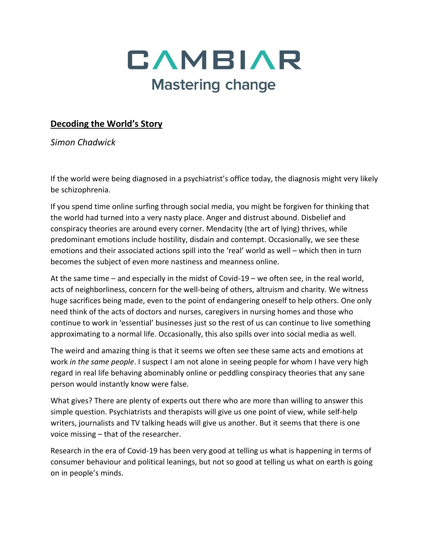

## **Decoding the World's Story**

*Simon Chadwick*

If the world were being diagnosed in a psychiatrist's office today, the diagnosis might very likely be schizophrenia.

If you spend time online surfing through social media, you might be forgiven for thinking that the world had turned into a very nasty place. Anger and distrust abound. Disbelief and conspiracy theories are around every corner. Mendacity (the art of lying) thrives, while predominant emotions include hostility, disdain and contempt. Occasionally, we see these emotions and their associated actions spill into the 'real' world as well – which then in turn becomes the subject of even more nastiness and meanness online.

At the same time – and especially in the midst of Covid-19 – we often see, in the real world, acts of neighborliness, concern for the well-being of others, altruism and charity. We witness huge sacrifices being made, even to the point of endangering oneself to help others. One only need think of the acts of doctors and nurses, caregivers in nursing homes and those who continue to work in 'essential' businesses just so the rest of us can continue to live something approximating to a normal life. Occasionally, this also spills over into social media as well.

The weird and amazing thing is that it seems we often see these same acts and emotions at work *in the same people*. I suspect I am not alone in seeing people for whom I have very high regard in real life behaving abominably online or peddling conspiracy theories that any sane person would instantly know were false.

What gives? There are plenty of experts out there who are more than willing to answer this simple question. Psychiatrists and therapists will give us one point of view, while self-help writers, journalists and TV talking heads will give us another. But it seems that there is one voice missing – that of the researcher.

Research in the era of Covid-19 has been very good at telling us what is happening in terms of consumer behaviour and political leanings, but not so good at telling us what on earth is going on in people's minds.